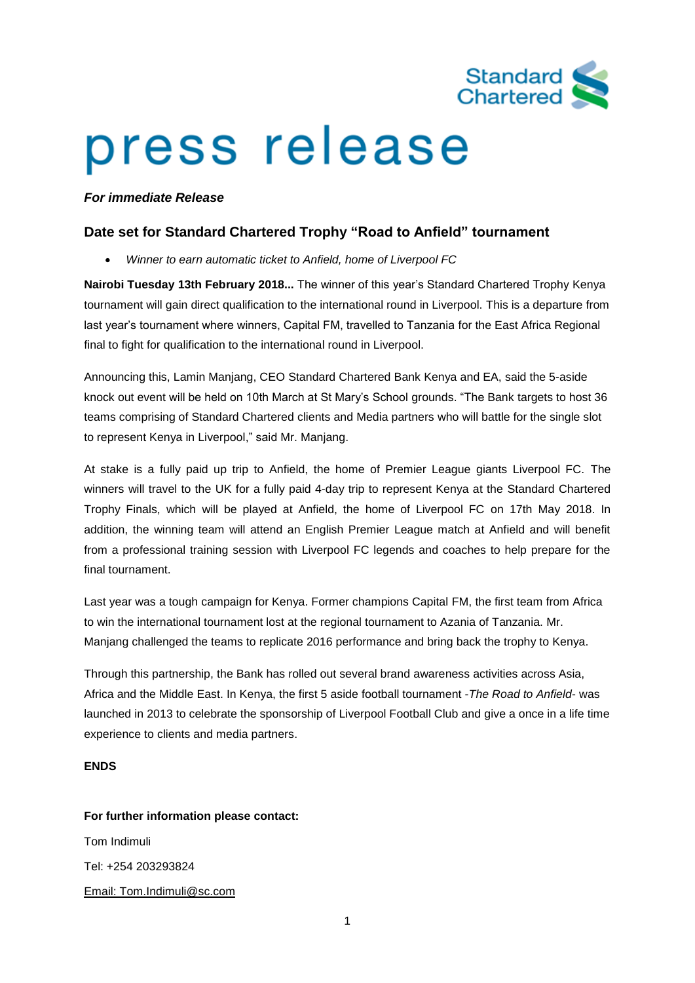

# press release

### *For immediate Release*

## **Date set for Standard Chartered Trophy "Road to Anfield" tournament**

• *Winner to earn automatic ticket to Anfield, home of Liverpool FC*

**Nairobi Tuesday 13th February 2018...** The winner of this year's Standard Chartered Trophy Kenya tournament will gain direct qualification to the international round in Liverpool. This is a departure from last year's tournament where winners, Capital FM, travelled to Tanzania for the East Africa Regional final to fight for qualification to the international round in Liverpool.

Announcing this, Lamin Manjang, CEO Standard Chartered Bank Kenya and EA, said the 5-aside knock out event will be held on 10th March at St Mary's School grounds. "The Bank targets to host 36 teams comprising of Standard Chartered clients and Media partners who will battle for the single slot to represent Kenya in Liverpool," said Mr. Manjang.

At stake is a fully paid up trip to Anfield, the home of Premier League giants Liverpool FC. The winners will travel to the UK for a fully paid 4-day trip to represent Kenya at the Standard Chartered Trophy Finals, which will be played at Anfield, the home of Liverpool FC on 17th May 2018. In addition, the winning team will attend an English Premier League match at Anfield and will benefit from a professional training session with Liverpool FC legends and coaches to help prepare for the final tournament.

Last year was a tough campaign for Kenya. Former champions Capital FM, the first team from Africa to win the international tournament lost at the regional tournament to Azania of Tanzania. Mr. Manjang challenged the teams to replicate 2016 performance and bring back the trophy to Kenya.

Through this partnership, the Bank has rolled out several brand awareness activities across Asia, Africa and the Middle East. In Kenya, the first 5 aside football tournament -*The Road to Anfield*- was launched in 2013 to celebrate the sponsorship of Liverpool Football Club and give a once in a life time experience to clients and media partners.

#### **ENDS**

#### **For further information please contact:**

Tom Indimuli Tel: +254 203293824 Email: Tom.Indimuli@sc.com